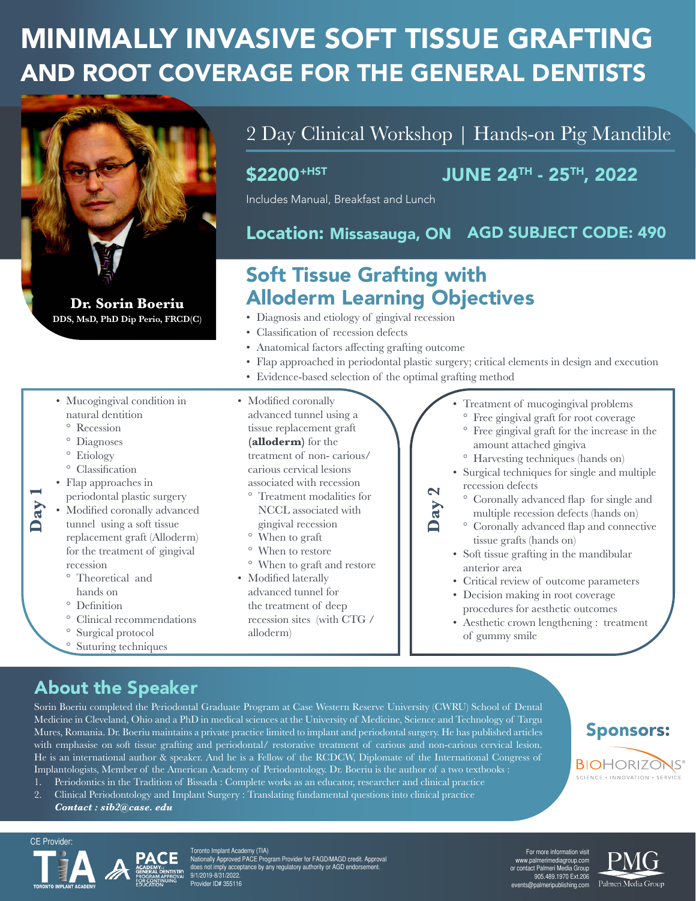# MINIMALLY INVASIVE SOFT TISSUE GRAFTING AND ROOT COVERAGE FOR THE GENERAL DENTISTS



**DDS, MsD, PhD Dip Perio, FRCD(C)**

• Mucogingival condition in natural dentition ° Recession ° Diagnoses ° Etiology ° Classification • Flap approaches in

periodontal plastic surgery • Modified coronally advanced tunnel using a soft tissue replacement graft (Alloderm) for the treatment of gingival

recession

° Theoretical and hands on ° Definition

° Surgical protocol ° Suturing techniques

### 2 Day Clinical Workshop | Hands-on Pig Mandible

 $$2200$ <sup>+HST</sup><br>JUNE  $24$ <sup>TH</sup> -  $25$ <sup>TH</sup>, 2022

Includes Manual, Breakfast and Lunch

#### Location: Missasauga, ON AGD SUBJECT CODE: 490

### Soft Tissue Grafting with **Dr. Sorin Boeriu** Alloderm Learning Objectives

- Diagnosis and etiology of gingival recession
- Classification of recession defects
- Anatomical factors affecting grafting outcome
- Flap approached in periodontal plastic surgery; critical elements in design and execution
- Evidence-based selection of the optimal grafting method
- Modified coronally advanced tunnel using a tissue replacement graft **(alloderm)** for the treatment of non- carious/ carious cervical lesions associated with recession
	- ° Treatment modalities for NCCL associated with gingival recession
	- ° When to graft
	- ° When to restore
- ° When to graft and restore
- Modified laterally advanced tunnel for the treatment of deep recession sites (with CTG / alloderm)
- Treatment of mucogingival problems
	- ° Free gingival graft for root coverage ° Free gingival graft for the increase in the amount attached gingiva
	- ° Harvesting techniques (hands on)
- Surgical techniques for single and multiple recession defects
	- ° Coronally advanced flap for single and multiple recession defects (hands on)
	- ° Coronally advanced flap and connective tissue grafts (hands on)
- Soft tissue grafting in the mandibular anterior area
- Critical review of outcome parameters
- Decision making in root coverage procedures for aesthetic outcomes
- Aesthetic crown lengthening : treatment of gummy smile

## About the Speaker

° Clinical recommendations

Sorin Boeriu completed the Periodontal Graduate Program at Case Western Reserve University (CWRU) School of Dental Medicine in Cleveland, Ohio and a PhD in medical sciences at the University of Medicine, Science and Technology of Targu Mures, Romania. Dr. Boeriu maintains a private practice limited to implant and periodontal surgery. He has published articles with emphasise on soft tissue grafting and periodontal/ restorative treatment of carious and non-carious cervical lesion. He is an international author & speaker. And he is a Fellow of the RCDCW, Diplomate of the International Congress of Implantologists, Member of the American Academy of Periodontology. Dr. Boeriu is the author of a two textbooks :

- 1. Periodontics in the Tradition of Bissada : Complete works as an educator, researcher and clinical practice
- 2. Clinical Periodontology and Implant Surgery : Translating fundamental questions into clinical practice *Contact : sib2@case. edu*



**Day 1**

Toronto Implant Academy (TIA) Nationally Approved PACE Program Provider for FAGD/MAGD credit. Approval does not imply acceptance by any regulatory authority or AGD endorsement. 9/1/2019-8/31/2022. Provider ID# 355116

For more information visit www.palmerimediagroup.com or contact Palmeri Media Group 905.489.1970 Ext.206 @palmeripublishing.com



Sponsors:

**BIOHORIZONS** SCIENCE . INNOVATION . SERVICE